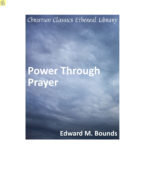Christian Classics Ethereal Library

# Power Through **Prayer**

## **Edward M. Bounds**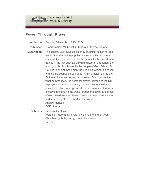

#### **Power Through Prayer**

- **Author(s):** Bounds, Edward M. (1835-1913)
- **Publisher:** Grand Rapids, MI: Christian Classics Ethereal Library
- **Description:** The caricature of lawyers as money grubbing, selfish narcissists is often derided in popular culture. But Jesus did not come for the righteous, but for the sinner. He has used men trained in the law, such as Calvin and Luther, throughout the history of his church to edify the people of God. Edward M. Bounds is one of these men. Trained as a lawyer, but called to ministry, Bounds served as an Army chaplain during the Civil War. As far as prayer is concerned, Bounds practiced what he preached. His personal prayer regimen called him to prayer for three hours every morning. Bounds did not consider his time in prayer as idle time, but a time that was effective in changing the world through the power and grace of God. Read Bounds' *Power Through Prayer* to enrich your understanding of God's work in the world. Andrew Hanson CCEL Intern
	- **Subjects:** Practical theology Worship (Public and Private) Including the church year, Christian symbols, liturgy, prayer, hymnology Prayer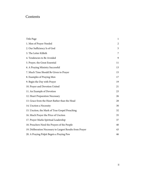### **Contents**

| Title Page                                                | 1              |
|-----------------------------------------------------------|----------------|
| 1. Men of Prayer Needed                                   | $\overline{2}$ |
| 2. Our Sufficiency Is of God                              | 5              |
| 3. The Letter Killeth                                     | 7              |
| 4. Tendencies to Be Avoided                               | 9              |
| 5. Prayer, the Great Essential                            | 11             |
| 6. A Praying Ministry Successful                          | 13             |
| 7. Much Time Should Be Given to Prayer                    | 15             |
| 8. Examples of Praying Men                                | 17             |
| 9. Begin the Day with Prayer                              | 19             |
| 10. Prayer and Devotion United                            | 21             |
| 11. An Example of Devotion                                | 23             |
| 12. Heart Preparation Necessary                           | 26             |
| 13. Grace from the Heart Rather than the Head             | 28             |
| 14. Unction a Necessity                                   | 30             |
| 15. Unction, the Mark of True Gospel Preaching            | 32             |
| 16. Much Prayer the Price of Unction                      | 35             |
| 17. Prayer Marks Spiritual Leadership                     | 37             |
| 18. Preachers Need the Prayers of the People              | 40             |
| 19. Deliberation Necessary to Largest Results from Prayer | 43             |
| 20. A Praying Pulpit Begets a Praying Pew                 | 46             |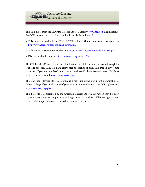

This PDF file is from the Christian Classics Ethereal Library, [www.ccel.org.](http://www.ccel.org) The mission of the CCEL is to make classic Christian books available to the world.

- This book is available in PDF, HTML, ePub, Kindle, and other formats. See <http://www.ccel.org/ccel/bounds/power.html>.
- A free audio narration is available at<http://www.ccel.org/ccel/bounds/power/mp3>.
- Discuss this book online at [http://www.ccel.org/node/2796.](http://www.ccel.org/node/2796)

The CCEL makes CDs of classic Christian literature available around the world through the Web and through CDs. We have distributed thousands of such CDs free in developing countries. If you are in a developing country and would like to receive a free CD, please send a request by email to [cd-request@ccel.org.](mailto:cd-request@ccel.org)

The Christian Classics Ethereal Library is a self supporting non-profit organization at Calvin College. If you wish to give of your time or money to support the CCEL, please visit [http://www.ccel.org/give.](http://www.ccel.org/give)

This PDF file is copyrighted by the Christian Classics Ethereal Library. It may be freely copied for non-commercial purposes as long as it is not modified. All other rights are reserved. Written permission is required for commercial use.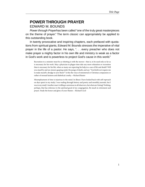#### <span id="page-4-0"></span>**POWER THROUGH PRAYER** EDWARD M. BOUNDS

*Power through Prayer*has been called "one of the truly great masterpieces on the theme of prayer." The term *classic* can appropriately be applied to this outstanding book.

In twenty provocative and inspiring chapters, each prefaced with quotations from spiritual giants, Edward M. Bounds stresses the imperative of vital prayer in the life of a pastor. He says, ". . . every preacher who does not make prayer a mighty factor in his own life and ministry is weak as a factor in God's work and is powerless to project God's cause in this world."

Recreation to a minister must be as whetting is with the mower—that is, to be used only so far as is necessary for his work. May a physician in plague-time take any more relaxation or recreation than is necessary for his life, when so many are expecting his help in a case of life and death? Will you stand by and see sinners gasping under the pangs of death, and say: "God doth not require me to make myself a drudge to save them?" Is this the voice of ministerial or Christian compassion or rather of sensual laziness and diabolical cruelty.—Richard Baxter

Misemployment of time is injurious to the mind. In illness I have looked back with self-reproach on days spent in my study; I was wading through history and poetry and monthly journals, but I was in my study! Another man's trifling is notorious to all observers, but what am I doing? Nothing, perhaps, that has reference to the spiritual good of my congregation. Be much in retirement and prayer. Study the honor and glory of your Master.—Richard Cecil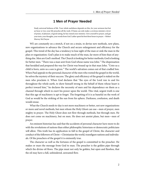#### **1 Men of Prayer Needed**

<span id="page-5-0"></span>Study universal holiness of life. Your whole usefulness depends on this, for your sermons last but an hour or two; your life preaches all the week. If Satan can only make a covetous minister a lover of praise, of pleasure, of good eating, he has ruined your ministry. Give yourself to prayer, and get your texts, your thoughts, your words from God. Luther spent his best three hours in prayer.—Robert Murray McCheyne

WE are constantly on a stretch, if not on a strain, to devise new methods, new plans, new organizations to advance the Church and secure enlargement and efficiency for the gospel. This trend of the day has a tendency to lose sight of the man or sink the man in the plan or organization. God's plan is to make much of the man, far more of him than of anything else. Men are God's method. The Church is looking for better methods; God is looking for better men. "There was a man sent from God whose name was John." The dispensation that heralded and prepared the way for Christ was bound up in that man John. "Unto us a child is born, unto us a son is given." The world's salvation comes out of that cradled Son. When Paul appeals to the personal character of the men who rooted the gospel in the world, he solves the mystery of their success. The glory and efficiency of the gospel is staked on the men who proclaim it. When God declares that "the eyes of the Lord run to and fro throughout the whole earth, to show himself strong in the behalf of them whose heart is perfect toward him," he declares the necessity of men and his dependence on them as a channel through which to exert his power upon the world. This vital, urgent truth is one that this age of machinery is apt to forget. The forgetting of it is as baneful on the work of God as would be the striking of the sun from his sphere. Darkness, confusion, and death would ensue.

What the Church needs to-day is not more machinery or better, not new organizations or more and novel methods, but men whom the Holy Ghost can use—men of prayer, men mighty in prayer. The Holy Ghost does not flow through methods, but through men. He does not come on machinery, but on men. He does not anoint plans, but men—men of prayer.

An eminent historian has said that the accidents of personal character have more to do with the revolutions of nations than either philosophic historians or democratic politicians will allow. This truth has its application in full to the gospel of Christ, the character and conduct of the followers of Christ—Christianize the world, transfigure nations and individuals. Of the preachers of the gospel it is eminently true.

The character as well as the fortunes of the gospel is committed to the preacher. He makes or mars the message from God to man. The preacher is the golden pipe through which the divine oil flows. The pipe must not only be golden, but open and flawless, that the oil may have a full, unhindered, unwasted flow.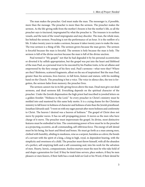The man makes the preacher. God must make the man. The messenger is, if possible, more than the message. The preacher is more than the sermon. The preacher makes the sermon. As the life-giving milk from the mother's bosom is but the mother's life, so all the preacher says is tinctured, impregnated by what the preacher is. The treasure is in earthen vessels, and the taste of the vessel impregnates and may discolor. The man, the whole man, lies behind the sermon. Preaching is not the performance of an hour. It is the outflow of a life. It takes twenty years to make a sermon, because it takes twenty years to make the man. The true sermon is a thing of life. The sermon grows because the man grows. The sermon is forceful because the man is forceful. The sermon is holy because the man is holy. The sermon is full of the divine unction because the man is full of the divine unction.

Paul termed it "My gospel;" not that he had degraded it by his personal eccentricities or diverted it by selfish appropriation, but the gospel was put into the heart and lifeblood of the man Paul, as a personal trust to be executed by his Pauline traits, to be set aflame and empowered by the fiery energy of his fiery soul. Paul's sermons—what were they? Where are they? Skeletons, scattered fragments, afloat on the sea of inspiration! But the man Paul, greater than his sermons, lives forever, in full form, feature and stature, with his molding hand on the Church. The preaching is but a voice. The voice in silence dies, the text is forgotten, the sermon fades from memory; the preacher lives.

The sermon cannot rise in its life-giving forces above the man. Dead men give out dead sermons, and dead sermons kill. Everything depends on the spiritual character of the preacher. Under the Jewish dispensation the high priest had inscribed in jeweled letters on a golden frontlet: "Holiness to the Lord." So every preacher in Christ's ministry must be molded into and mastered by this same holy motto. It is a crying shame for the Christian ministry to fall lower in holiness of character and holiness of aim than the Jewish priesthood. Jonathan Edwards said: "I went on with my eager pursuit after more holiness and conformity to Christ. The heaven I desired was a heaven of holiness." The gospel of Christ does not move by popular waves. It has no self-propagating power. It moves as the men who have charge of it move. The preacher must impersonate the gospel. Its divine, most distinctive features must be embodied in him. The constraining power of love must be in the preacher as a projecting, eccentric, an all-commanding, self-oblivious force. The energy of self-denial must be his being, his heart and blood and bones. He must go forth as a man among men, clothed with humility, abiding in meekness, wise as a serpent, harmless as a dove; the bonds of a servant with the spirit of a king, a king in high, royal, in dependent bearing, with the simplicity and sweetness of a child. The preacher must throw himself, with all the abandon of a perfect, self-emptying faith and a self-consuming zeal, into his work for the salvation of men. Hearty, heroic, compassionate, fearless martyrs must the men be who take hold of and shape a generation for God. If they be timid time servers, place seekers, if they be men pleasers or men fearers, if their faith has a weak hold on God or his Word, if their denial be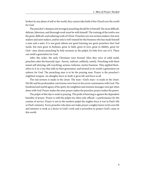broken by any phase of self or the world, they cannot take hold of the Church nor the world for God.

The preacher's sharpest and strongest preaching should be to himself. His most difficult, delicate, laborious, and thorough work must be with himself. The training of the twelve was the great, difficult, and enduring work of Christ. Preachers are not sermon makers, but men makers and saint makers, and he only is well-trained for this business who has made himself a man and a saint. It is not great talents nor great learning nor great preachers that God needs, but men great in holiness, great in faith, great in love, great in fidelity, great for God—men always preaching by holy sermons in the pulpit, by holy lives out of it. These can mold a generation for God.

After this order, the early Christians were formed. Men they were of solid mold, preachers after the heavenly type—heroic, stalwart, soldierly, saintly. Preaching with them meant self-denying, self-crucifying, serious, toilsome, martyr business. They applied themselves to it in a way that told on their generation, and formed in its womb a generation yet unborn for God. The preaching man is to be the praying man. Prayer is the preacher's mightiest weapon. An almighty force in itself, it gives life and force to all.

The real sermon is made in the closet. The man—God's man—is made in the closet. His life and his profoundest convictions were born in his secret communion with God. The burdened and tearful agony of his spirit, his weightiest and sweetest messages were got when alone with God. Prayer makes the man; prayer makes the preacher; prayer makes the pastor.

The pulpit of this day is weak in praying. The pride of learning is against the dependent humility of prayer. Prayer is with the pulpit too often only official—a performance for the routine of service. Prayer is not to the modern pulpit the mighty force it was in Paul's life or Paul's ministry. Every preacher who does not make prayer a mighty factor in his own life and ministry is weak as a factor in God's work and is powerless to project God's cause in this world.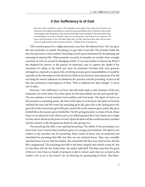#### **2 Our Sufficiency Is of God**

<span id="page-8-0"></span>But above all he excelled in prayer. The inwardness and weight of his spirit, the reverence and solemnity of his address and behavior, and the fewness and fullness of his words have often struck even strangers with admiration as they used to reach others with consolation. The most awful, living, reverend frame I ever felt or beheld, I must say, was his prayer. And truly it was a testimony. He knew and lived nearer to the Lord than other men, for they that know him most will see most reason to approach him with reverence and fear.—William Penn of George Fox

THE sweetest graces by a slight perversion may bear the bitterest fruit. The sun gives life, but sunstrokes are death. Preaching is to give life; it may kill. The preacher holds the keys; he may lock as well as unlock. Preaching is God's great institution for the planting and maturing of spiritual life. When properly executed, its benefits are untold; when wrongly executed, no evil can exceed its damaging results. It is an easy matter to destroy the flock if the shepherd be unwary or the pasture be destroyed, easy to capture the citadel if the watchmen be asleep or the food and water be poisoned. Invested with such gracious prerogatives, exposed to so great evils, involving so many grave responsibilities, it would be a parody on the shrewdness of the devil and a libel on his character and reputation if he did not bring his master influences to adulterate the preacher and the preaching. In face of all this, the exclamatory interrogatory of Paul, "Who is sufficient for these things?" is never out of order.

Paul says: "Our sufficiency is of God, who also hath made us able ministers of the new testament; not of the letter, but of the spirit: for the letter killeth, but the spirit giveth life." The true ministry is God-touched, God-enabled, and God-made. The Spirit of God is on the preacher in anointing power, the fruit of the Spirit is in his heart, the Spirit of God has vitalized the man and the word; his preaching gives life, gives life as the spring gives life; gives life as the resurrection gives life; gives ardent life as the summer gives ardent life; gives fruitful life as the autumn gives fruitful life. The life-giving preacher is a man of God, whose heart is ever athirst for God, whose soul is ever following hard after God, whose eye is single to God, and in whom by the power of God's Spirit the flesh and the world have been crucified and his ministry is like the generous flood of a life-giving river.

The preaching that kills is non-spiritual preaching. The ability of the preaching is not from God. Lower sources than God have given to it energy and stimulant. The Spirit is not evident in the preacher nor his preaching. Many kinds of forces may be projected and stimulated by preaching that kills, but they are not spiritual forces. They may resemble spiritual forces, but are only the shadow, the counterfeit; life they may seem to have, but the life is magnetized. The preaching that kills is the letter; shapely and orderly it may be, but it is the letter still, the dry, husky letter, the empty, bald shell. The letter may have the germ of life in it, but it has no breath of spring to evoke it; winter seeds they are, as hard as the winter's soil, as icy as the winter's air, no thawing nor germinating by them. This letter-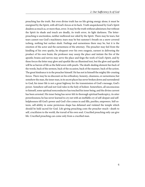preaching has the truth. But even divine truth has no life-giving energy alone; it must be energized by the Spirit, with all God's forces at its back. Truth unquickened by God's Spirit deadens as much as, or more than, error. It may be the truth without admixture; but without the Spirit its shade and touch are deadly, its truth error, its light darkness. The letterpreaching is unctionless, neither mellowed nor oiled by the Spirit. There may be tears, but tears cannot run God's machinery; tears may be but summer's breath on a snow-covered iceberg, nothing but surface slush. Feelings and earnestness there may be, but it is the emotion of the actor and the earnestness of the attorney. The preacher may feel from the kindling of his own sparks, be eloquent over his own exegesis, earnest in delivering the product of his own brain; the professor may usurp the place and imitate the fire of the apostle; brains and nerves may serve the place and feign the work of God's Spirit, and by these forces the letter may glow and sparkle like an illumined text, but the glow and sparkle will be as barren of life as the field sown with pearls. The death-dealing element lies back of the words, back of the sermon, back of the occasion, back of the manner, back of the action. The great hindrance is in the preacher himself. He has not in himself the mighty life-creating forces. There may be no discount on his orthodoxy, honesty, cleanness, or earnestness; but somehow the man, the inner man, in its secret places has never broken down and surrendered to God, his inner life is not a great highway for the transmission of God's message, God's power. Somehow self and not God rules in the holy of holiest. Somewhere, all unconscious to himself, some spiritual nonconductor has touched his inner being, and the divine current has been arrested. His inner being has never felt its thorough spiritual bankruptcy, its utter powerlessness; he has never learned to cry out with an ineffable cry of self-despair and selfhelplessness till God's power and God's fire comes in and fills, purifies, empowers. Self-esteem, self-ability in some pernicious shape has defamed and violated the temple which should be held sacred for God. Life-giving preaching costs the preacher much—death to self, crucifixion to the world, the travail of his own soul. Crucified preaching only can give life. Crucified preaching can come only from a crucified man.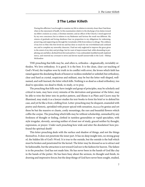#### **3 The Letter Killeth**

<span id="page-10-0"></span>During this affliction I was brought to examine my life in relation to eternity closer than I had done when in the enjoyment of health. In this examination relative to the discharge of my duties toward my fellow creatures as a man, a Christian minister, and an officer of the Church, I stood approved by my own conscience; but in relation to my Redeemer and Saviour the result was different. My returns of gratitude and loving obedience bear no proportion to my obligations for redeeming, preserving, and supporting me through the vicissitudes of life from infancy to old age. The coldness of my love to Him who first loved me and has done so much for me overwhelmed and confused me; and to complete my unworthy character, I had not only neglected to improve the grace given to the extent of my duty and privilege, but for want of improvement had, while abounding in perplexing care and labor, declined from first zeal and love. I was confounded, humbled myself, implored mercy, and renewed my covenant to strive and devote myself unreservedly to the Lord.—Bishop McKendree

THE preaching that kills may be, and often is, orthodox—dogmatically, inviolably orthodox. We love orthodoxy. It is good. It is the best. It is the clean, clear-cut teaching of God's Word, the trophies won by truth in its conflict with error, the levees which faith has raised against the desolating floods of honest or reckless misbelief or unbelief; but orthodoxy, clear and hard as crystal, suspicious and militant, may be but the letter well-shaped, wellnamed, and well-learned, the letter which kills. Nothing is so dead as a dead orthodoxy, too dead to speculate, too dead to think, to study, or to pray.

The preaching that kills may have insight and grasp of principles, may be scholarly and critical in taste, may have every minutia of the derivation and grammar of the letter, may be able to trim the letter into its perfect pattern, and illume it as Plato and Cicero may be illumined, may study it as a lawyer studies his text-books to form his brief or to defend his case, and yet be like a frost, a killing frost. Letter-preaching may be eloquent, enameled with poetry and rhetoric, sprinkled with prayer spiced with sensation, illumined by genius and yet these be but the massive or chaste, costly mountings, the rare and beautiful flowers which coffin the corpse. The preaching which kills may be without scholarship, unmarked by any freshness of thought or feeling, clothed in tasteless generalities or vapid specialties, with style irregular, slovenly, savoring neither of closet nor of study, graced neither by thought, expression, or prayer. Under such preaching how wide and utter the desolation! how profound the spiritual death!

This letter-preaching deals with the surface and shadow of things, and not the things themselves. It does not penetrate the inner part. It has no deep insight into, no strong grasp of, the hidden life of God's Word. It is true to the outside, but the outside is the hull which must be broken and penetrated for the kernel. The letter may be dressed so as to attract and be fashionable, but the attraction is not toward God nor is the fashion for heaven. The failure is in the preacher. God has not made him. He has never been in the hands of God like clay in the hands of the potter. He has been busy about the sermon, its thought and finish, its drawing and impressive forces; but the deep things of God have never been sought, studied,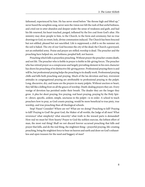fathomed, experienced by him. He has never stood before "the throne high and lifted up," never heard the seraphim song, never seen the vision nor felt the rush of that awful holiness, and cried out in utter abandon and despair under the sense of weakness and guilt, and had his life renewed, his heart touched, purged, inflamed by the live coal from God's altar. His ministry may draw people to him, to the Church, to the form and ceremony; but no true drawings to God, no sweet, holy, divine communion induced. The Church has been frescoed but not edified, pleased but not sanctified. Life is suppressed; a chill is on the summer air; the soil is baked. The city of our God becomes the city of the dead; the Church a graveyard, not an embattled army. Praise and prayer are stifled; worship is dead. The preacher and the preaching have helped sin, not holiness; peopled hell, not heaven.

Preaching which kills is prayerless preaching. Without prayer the preacher creates death, and not life. The preacher who is feeble in prayer is feeble in life-giving forces. The preacher who has retired prayer as a conspicuous and largely prevailing element in his own character has shorn his preaching of its distinctive life-giving power. Professional praying there is and will be, but professional praying helps the preaching to its deadly work. Professional praying chills and kills both preaching and praying. Much of the lax devotion and lazy, irreverent attitudes in congregational praying are attributable to professional praying in the pulpit. Long, discursive, dry, and inane are the prayers in many pulpits. Without unction or heart, they fall like a killing frost on all the graces of worship. Death-dealing prayers they are. Every vestige of devotion has perished under their breath. The deader they are the longer they grow. A plea for short praying, live praying, real heart praying, praying by the Holy Spirit—direct, specific, ardent, simple, unctuous in the pulpit—is in order. A school to teach preachers how to pray, as God counts praying, would be more beneficial to true piety, true worship, and true preaching than all theological schools.

Stop! Pause! Consider! Where are we? What are we doing? Preaching to kill? Praying to kill? Praying to God! the great God, the Maker of all worlds, the Judge of all men! What reverence! what simplicity! what sincerity! what truth in the inward parts is demanded! How real we must be! How hearty! Prayer to God the noblest exercise, the loftiest effort of man, the most real thing! Shall we not discard forever accursed preaching that kills and prayer that kills, and do the real thing, the mightiest thing—prayerful praying, life-creating preaching, bring the mightiest force to bear on heaven and earth and draw on God's exhaustless and open treasure for the need and beggary of man?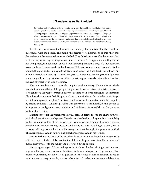#### **4 Tendencies to Be Avoided**

<span id="page-12-0"></span>Let us often look at Brainerd in the woods of America pouring out his very soul before God for the perishing heathen without whose salvation nothing could make him happy. Prayer—secret fervent believing prayer—lies at the root of all personal godliness. A competent knowledge of the language where a missionary lives, a mild and winning temper, a heart given up to God in closet religion—these, these are the attainments which, more than all knowledge, or all other gifts, will fit us to become the instruments of God in the great work of human redemption.—Carrey's Brotherhood, Serampore

THERE are two extreme tendencies in the ministry. The one is to shut itself out from intercourse with the people. The monk, the hermit were illustrations of this; they shut themselves out from men to be more with God. They failed, of course. Our being with God is of use only as we expend its priceless benefits on men. This age, neither with preacher nor with people, is much intent on God. Our hankering is not that way. We shut ourselves to our study, we become students, bookworms, Bible worms, sermon makers, noted for literature, thought, and sermons; but the people and God, where are they? Out of heart, out of mind. Preachers who are great thinkers, great students must be the greatest of prayers, or else they will be the greatest of backsliders, heartless professionals, rationalistic, less than the least of preachers in God's estimate.

The other tendency is to thoroughly popularize the ministry. He is no longer God's man, but a man of affairs, of the people. He prays not, because his mission is to the people. If he can move the people, create an interest, a sensation in favor of religion, an interest in Church work—he is satisfied. His personal relation to God is no factor in his work. Prayer has little or no place in his plans. The disaster and ruin of such a ministry cannot be computed by earthly arithmetic. What the preacher is in prayer to God, for himself, for his people, so is his power for real good to men, so is his true fruitfulness, his true fidelity to God, to man, for time, for eternity.

It is impossible for the preacher to keep his spirit in harmony with the divine nature of his high calling without much prayer. That the preacher by dint of duty and laborious fidelity to the work and routine of the ministry can keep himself in trim and fitness is a serious mistake. Even sermon-making, incessant and taxing as an art, as a duty, as a work, or as a pleasure, will engross and harden, will estrange the heart, by neglect of prayer, from God. The scientist loses God in nature. The preacher may lose God in his sermon.

Prayer freshens the heart of the preacher, keeps it in tune with God and in sympathy with the people, lifts his ministry out of the chilly air of a profession, fructifies routine and moves every wheel with the facility and power of a divine unction.

Mr. Spurgeon says: "Of course the preacher is above all others distinguished as a man of prayer. He prays as an ordinary Christian, else he were a hypocrite. He prays more than ordinary Christians, else he were disqualified for the office he has undertaken. If you as ministers are not very prayerful, you are to be pitied. If you become lax in sacred devotion,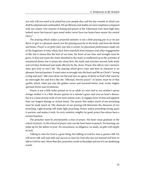not only will you need to be pitied but your people also, and the day cometh in which you shall be ashamed and confounded. All our libraries and studies are mere emptiness compared with our closets. Our seasons of fasting and prayer at the Tabernacle have been high days indeed; never has heaven's gate stood wider; never have our hearts been nearer the central Glory."

The praying which makes a prayerful ministry is not a little praying put in as we put flavor to give it a pleasant smack, but the praying must be in the body, and form the blood and bones. Prayer is no petty duty, put into a corner; no piecemeal performance made out of the fragments of time which have been snatched from business and other engagements of life; but it means that the best of our time, the heart of our time and strength must be given. It does not mean the closet absorbed in the study or swallowed up in the activities of ministerial duties; but it means the closet first, the study and activities second, both study and activities freshened and made efficient by the closet. Prayer that affects one's ministry must give tone to one's life. The praying which gives color and bent to character is no pleasant, hurried pastime. It must enter as strongly into the heart and life as Christ's "strong crying and tears" did; must draw out the soul into an agony of desire as Paul's did; must be an inwrought fire and force like the "effectual, fervent prayer" of James; must be of that quality which, when put into the golden censer and incensed before God, works mighty spiritual throes and revolutions.

Prayer is not a little habit pinned on to us while we were tied to our mother's apron strings; neither is it a little decent quarter of a minute's grace said over an hour's dinner, but it is a most serious work of our most serious years. It engages more of time and appetite than our longest dinings or richest feasts. The prayer that makes much of our preaching must be made much of. The character of our praying will determine the character of our preaching. Light praying will make light preaching. Prayer makes preaching strong, gives it unction, and makes it stick. In every ministry weighty for good, prayer has always been a serious business.

The preacher must be preeminently a man of prayer. His heart must graduate in the school of prayer. In the school of prayer only can the heart learn to preach. No learning can make up for the failure to pray. No earnestness, no diligence, no study, no gifts will supply its lack.

Talking to men for God is a great thing, but talking to God for men is greater still. He will never talk well and with real success to men for God who has not learned well how to talk to God for men. More than this, prayerless words in the pulpit and out of it are deadening words.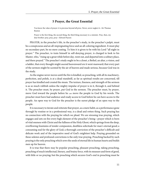#### **5 Prayer, the Great Essential**

<span id="page-14-0"></span>You know the value of prayer: it is precious beyond all price. Never, never neglect it—Sir Thomas Buxton

Prayer is the first thing, the second thing, the third thing necessary to a minister. Pray, then, my dear brother: pray, pray, pray—Edward Payson

PRAYER, in the preacher's life, in the preacher's study, in the preacher's pulpit, must be a conspicuous and an all-impregnating force and an all-coloring ingredient. It must play no secondary part, be no mere coating. To him it is given to be with his Lord "all night in prayer." The preacher, to train himself in self-denying prayer, is charged to look to his Master, who, "rising up a great while before day, went out, and departed into a solitary place, and there prayed." The preacher's study ought to be a closet, a Bethel, an altar, a vision, and a ladder, that every thought might ascend heavenward ere it went manward; that every part of the sermon might be scented by the air of heaven and made serious, because God was in the study.

As the engine never moves until the fire is kindled, so preaching, with all its machinery, perfection, and polish, is at a dead standstill, as far as spiritual results are concerned, till prayer has kindled and created the steam. The texture, fineness, and strength of the sermon is as so much rubbish unless the mighty impulse of prayer is in it, through it, and behind it. The preacher must, by prayer, put God in the sermon. The preacher must, by prayer, move God toward the people before he can move the people to God by his words. The preacher must have had audience and ready access to God before he can have access to the people. An open way to God for the preacher is the surest pledge of an open way to the people.

It is necessary to iterate and reiterate that prayer, as a mere habit, as a performance gone through by routine or in a professional way, is a dead and rotten thing. Such praying has no connection with the praying for which we plead. We are stressing true praying, which engages and sets on fire every high element of the preacher's being—prayer which is born of vital oneness with Christ and the fullness of the Holy Ghost, which springs from the deep, overflowing fountains of tender compassion, deathless solicitude for man's eternal good; a consuming zeal for the glory of God; a thorough conviction of the preacher's difficult and delicate work and of the imperative need of God's mightiest help. Praying grounded on these solemn and profound convictions is the only true praying. Preaching backed by such praying is the only preaching which sows the seeds of eternal life in human hearts and builds men up for heaven.

It is true that there may be popular preaching, pleasant preaching, taking preaching, preaching of much intellectual, literary, and brainy force, with its measure and form of good, with little or no praying; but the preaching which secures God's end in preaching must be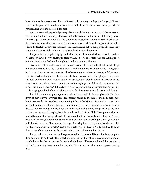born of prayer from text to exordium, delivered with the energy and spirit of prayer, followed and made to germinate, and kept in vital force in the hearts of the hearers by the preacher's prayers, long after the occasion has past.

We may excuse the spiritual poverty of our preaching in many ways, but the true secret will be found in the lack of urgent prayer for God's presence in the power of the Holy Spirit. There are preachers innumerable who can deliver masterful sermons after their order; but the effects are short-lived and do not enter as a factor at all into the regions of the spirit where the fearful war between God and Satan, heaven and hell, is being waged because they are not made powerfully militant and spiritually victorious by prayer.

The preachers who gain mighty results for God are the men who have prevailed in their pleadings with God ere venturing to plead with men. The preachers who are the mightiest in their closets with God are the mightiest in their pulpits with men.

Preachers are human folks, and are exposed to and often caught by the strong driftings of human currents. Praying is spiritual work; and human nature does not like taxing, spiritual work. Human nature wants to sail to heaven under a favoring breeze, a full, smooth sea. Prayer is humbling work. It abases intellect and pride, crucifies vainglory, and signs our spiritual bankruptcy, and all these are hard for flesh and blood to bear. It is easier not to pray than to bear them. So we come to one of the crying evils of these times, maybe of all times—little or no praying. Of these two evils, perhaps little praying is worse than no praying. Little praying is a kind of make-believe, a salvo for the conscience, a farce and a delusion.

The little estimate we put on prayer is evident from the little time we give to it. The time given to prayer by the average preacher scarcely counts in the sum of the daily aggregate. Not infrequently the preacher's only praying is by his bedside in his nightdress, ready for bed and soon in it, with, perchance the addition of a few hasty snatches of prayer ere he is dressed in the morning. How feeble, vain, and little is such praying compared with the time and energy devoted to praying by holy men in and out of the Bible! How poor and mean our petty, childish praying is beside the habits of the true men of God in all ages! To men who think praying their main business and devote time to it according to this high estimate of its importance does God commit the keys of his kingdom, and by them does he work his spiritual wonders in this world. Great praying is the sign and seal of God's great leaders and the earnest of the conquering forces with which God will crown their labors.

The preacher is commissioned to pray as well as to preach. His mission is incomplete if he does not do both well. The preacher may speak with all the eloquence of men and of angels; but unless he can pray with a faith which draws all heaven to his aid, his preaching will be "as sounding brass or a tinkling cymbal" for permanent God-honoring, soul-saving uses.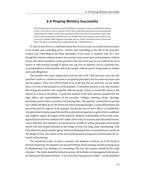#### **6 A Praying Ministry Successful**

<span id="page-16-0"></span>The principal cause of my leanness and unfruitfulness is owing to an unaccountable backwardness to pray. I can write or read or converse or hear with a ready heart; but prayer is more spiritual and inward than any of these, and the more spiritual any duty is the more my carnal heart is apt to start from it. Prayer and patience and faith are never disappointed. I have long since learned that if ever I was to be a minister faith and prayer must make me one. When I can find my heart in frame and liberty for prayer, everything else is comparatively easy.—Richard Newton

IT may be put down as a spiritual axiom that in every truly successful ministry prayer is an evident and controlling force—evident and controlling in the life of the preacher, evident and controlling in the deep spirituality of his work. A ministry may be a very thoughtful ministry without prayer; the preacher may secure fame and popularity without prayer; the whole machinery of the preacher's life and work may be run without the oil of prayer or with scarcely enough to grease one cog; but no ministry can be a spiritual one, securing holiness in the preacher and in his people, without prayer being made an evident and controlling force.

The preacher that prays indeed puts God into the work. God does not come into the preacher's work as a matter of course or on general principles, but he comes by prayer and special urgency. That God will be found of us in the day that we seek him with the whole heart is as true of the preacher as of the penitent. A prayerful ministry is the only ministry that brings the preacher into sympathy with the people. Prayer as essentially unites to the human as it does to the divine. A prayerful ministry is the only ministry qualified for the high offices and responsibilities of the preacher. Colleges, learning, books, theology, preaching cannot make a preacher, but praying does. The apostles' commission to preach was a blank till filled up by the Pentecost which praying brought. A prayerful minister has passed beyond the regions of the popular, beyond the man of mere affairs, of secularities, of pulpit attractiveness; passed beyond the ecclesiastical organizer or general into a sublimer and mightier region, the region of the spiritual. Holiness is the product of his work; transfigured hearts and lives emblazon the reality of his work, its trueness and substantial nature. God is with him. His ministry is not projected on worldly or surface principles. He is deeply stored with and deeply schooled in the things of God. His long, deep communings with God about his people and the agony of his wrestling spirit have crowned him as a prince in the things of God. The iciness of the mere professional has long since melted under the intensity of his praying.

The superficial results of many a ministry, the deadness of others, are to be found in the lack of praying. No ministry can succeed without much praying, and this praying must be fundamental, ever-abiding, ever-increasing. The text, the sermon, should be the result of prayer. The study should be bathed in prayer, all its duties so impregnated with prayer, its whole spirit the spirit of prayer. "I am sorry that I have prayed so little," was the deathbed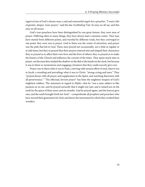regret of one of God's chosen ones, a sad and remorseful regret for a preacher. "I want a life of greater, deeper, truer prayer," said the late Archbishop Tait. So may we all say, and this may we all secure.

God's true preachers have been distinguished by one great feature: they were men of prayer. Differing often in many things, they have always had a common center. They may have started from different points, and traveled by different roads, but they converged to one point: they were one in prayer. God to them was the center of attraction, and prayer was the path that led to God. These men prayed not occasionally, not a little at regular or at odd times; but they so prayed that their prayers entered into and shaped their characters; they so prayed as to affect their own lives and the lives of others; they so prayed as to make the history of the Church and influence the current of the times. They spent much time in prayer, not because they marked the shadow on the dial or the hands on the clock, but because it was to them so momentous and engaging a business that they could scarcely give over.

Prayer was to them what it was to Paul, a striving with earnest effort of soul; what it was to Jacob, a wrestling and prevailing; what it was to Christ, "strong crying and tears." They "prayed always with all prayer and supplication in the Spirit, and watching thereunto with all perseverance." "The effectual, fervent prayer" has been the mightiest weapon of God's mightiest soldiers. The statement in regard to Elijah—that he "was a man subject to like passions as we are, and he prayed earnestly that it might not rain: and it rained not on the earth by the space of three years and six months. And he prayed again, and the heaven gave rain, and the earth brought forth her fruit"—comprehends all prophets and preachers who have moved their generation for God, and shows the instrument by which they worked their wonders.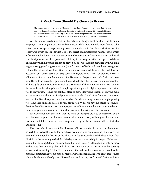#### **7 Much Time Should Be Given to Prayer**

<span id="page-18-0"></span>The great masters and teachers in Christian doctrine have always found in prayer their highest source of illumination. Not to go beyond the limits of the English Church, it is recorded of Bishop Andrews that he spent five hours daily on his knees. The greatest practical resolves that have enriched and beautified human life in Christian times have been arrived at in prayer.—Canon Liddon

WHILE many private prayers, in the nature of things, must be short; while public prayers, as a rule, ought to be short and condensed; while there is ample room for and value put on ejaculatory prayer—yet in our private communions with God time is a feature essential to its value. Much time spent with God is the secret of all successful praying. Prayer which is felt as a mighty force is the mediate or immediate product of much time spent with God. Our short prayers owe their point and efficiency to the long ones that have preceded them. The short prevailing prayer cannot be prayed by one who has not prevailed with God in a mightier struggle of long continuance. Jacob's victory of faith could not have been gained without that all-night wrestling. God's acquaintance is not made by pop calls. God does not bestow his gifts on the casual or hasty comers and goers. Much with God alone is the secret of knowing him and of influence with him. He yields to the persistency of a faith that knows him. He bestows his richest gifts upon those who declare their desire for and appreciation of those gifts by the constancy as well as earnestness of their importunity. Christ, who in this as well as other things is our Example, spent many whole nights in prayer. His custom was to pray much. He had his habitual place to pray. Many long seasons of praying make up his history and character. Paul prayed day and night. It took time from very important interests for Daniel to pray three times a day. David's morning, noon, and night praying were doubtless on many occasions very protracted. While we have no specific account of the time these Bible saints spent in prayer, yet the indications are that they consumed much time in prayer, and on some occasions long seasons of praying was their custom.

We would not have any think that the value of their prayers is to be measured by the clock, but our purpose is to impress on our minds the necessity of being much alone with God; and that if this feature has not been produced by our faith, then our faith is of a feeble and surface type.

The men who have most fully illustrated Christ in their character, and have most powerfully affected the world for him, have been men who spent so much time with God as to make it a notable feature of their lives. Charles Simeon devoted the hours from four till eight in the morning to God. Mr. Wesley spent two hours daily in prayer. He began at four in the morning. Of him, one who knew him well wrote: "He thought prayer to be more his business than anything else, and I have seen him come out of his closet with a serenity of face next to shining." John Fletcher stained the walls of his room by the breath of his prayers. Sometimes he would pray all night; always, frequently, and with great earnestness. His whole life was a life of prayer. "I would not rise from my seat," he said, "without lifting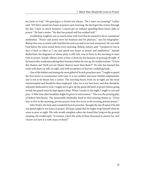my heart to God." His greeting to a friend was always: "Do I meet you praying?" Luther said: "If I fail to spend two hours in prayer each morning, the devil gets the victory through the day. I have so much business I cannot get on without spending three hours daily in prayer." He had a motto: "He that has prayed well has studied well."

Archbishop Leighton was so much alone with God that he seemed to be in a perpetual meditation. "Prayer and praise were his business and his pleasure," says his biographer. Bishop Ken was so much with God that his soul was said to be God-enamored. He was with God before the clock struck three every morning. Bishop Asbury said: "I propose to rise at four o'clock as often as I can and spend two hours in prayer and meditation." Samuel Rutherford, the fragrance of whose piety is still rich, rose at three in the morning to meet God in prayer. Joseph Alleine arose at four o'clock for his business of praying till eight. If he heard other tradesmen plying their business before he was up, he would exclaim: "O how this shames me! Doth not my Master deserve more than theirs?" He who has learned this trade well draws at will, on sight, and with acceptance of heaven's unfailing bank.

One of the holiest and among the most gifted of Scotch preachers says: "I ought to spend the best hours in communion with God. It is my noblest and most fruitful employment, and is not to be thrust into a corner. The morning hours, from six to eight, are the most uninterrupted and should be thus employed. After tea is my best hour, and that should be solemnly dedicated to God. I ought not to give up the good old habit of prayer before going to bed; but guard must be kept against sleep. When I awake in the night, I ought to rise and pray. A little time after breakfast might be given to intercession." This was the praying plan of Robert McCheyne. The memorable Methodist band in their praying shame us. "From four to five in the morning, private prayer; from five to six in the evening, private prayer."

John Welch, the holy and wonderful Scotch preacher, thought the day ill spent if he did not spend eight or ten hours in prayer. He kept a plaid that he might wrap himself when he arose to pray at night. His wife would complain when she found him lying on the ground weeping. He would reply: "O woman, I have the souls of three thousand to answer for, and I know not how it is with many of them!"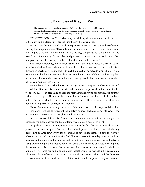#### **8 Examples of Praying Men**

<span id="page-20-0"></span>The act of praying is the very highest energy of which the human mind is capable; praying, that is, with the total concentration of the faculties. The great mass of worldly men and of learned men are absolutely incapable of prayer.—Samuel Taylor Coleridge

BISHOP WILSON says: "In H. Martyn's journal the spirit of prayer, the time he devoted to the duty, and his fervor in it are the first things which strike me."

Payson wore the hard-wood boards into grooves where his knees pressed so often and so long. His biographer says: "His continuing instant in prayer, be his circumstances what they might, is the most noticeable fact in his history, and points out the duty of all who would rival his eminency. To his ardent and persevering prayers must no doubt be ascribed in a great measure his distinguished and almost uninterrupted success."

The Marquis DeRenty, to whom Christ was most precious, ordered his servant to call him from his devotions at the end of half an hour. The servant at the time saw his face through an aperture. It was marked with such holiness that he hated to arouse him. His lips were moving, but he was perfectly silent. He waited until three half hours had passed; then he called to him, when he arose from his knees, saying that the half hour was so short when he was communing with Christ.

Brainerd said: "I love to be alone in my cottage, where I can spend much time in prayer."

William Bramwell is famous in Methodist annals for personal holiness and for his wonderful success in preaching and for the marvelous answers to his prayers. For hours at a time he would pray. He almost lived on his knees. He went over his circuits like a flame of fire. The fire was kindled by the time he spent in prayer. He often spent as much as four hours in a single season of prayer in retirement.

Bishop Andrewes spent the greatest part of five hours every day in prayer and devotion.

Sir Henry Havelock always spent the first two hours of each day alone with God. If the encampment was struck at 6 A.M., he would rise at four.

Earl Cairns rose daily at six o'clock to secure an hour and a half for the study of the Bible and for prayer, before conducting family worship at a quarter to eight.

Dr. Judson's success in prayer is attributable to the fact that he gave much time to prayer. He says on this point: "Arrange thy affairs, if possible, so that thou canst leisurely devote two or three hours every day not merely to devotional exercises but to the very act of secret prayer and communion with God. Endeavor seven times a day to withdraw from business and company and lift up thy soul to God in private retirement. Begin the day by rising after midnight and devoting some time amid the silence and darkness of the night to this sacred work. Let the hour of opening dawn find thee at the same work. Let the hours of nine, twelve, three, six, and nine at night witness the same. Be resolute in his cause. Make all practicable sacrifices to maintain it. Consider that thy time is short, and that business and company must not be allowed to rob thee of thy God." Impossible, say we, fanatical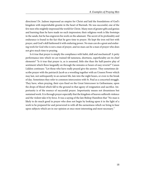directions! Dr. Judson impressed an empire for Christ and laid the foundations of God's kingdom with imperishable granite in the heart of Burmah. He was successful, one of the few men who mightily impressed the world for Christ. Many men of greater gifts and genius and learning than he have made no such impression; their religious work is like footsteps in the sands, but he has engraven his work on the adamant. The secret of its profundity and endurance is found in the fact that he gave time to prayer. He kept the iron red-hot with prayer, and God's skill fashioned it with enduring power. No man can do a great and enduring work for God who is not a man of prayer, and no man can be a man of prayer who does not give much time to praying.

Is it true that prayer is simply the compliance with habit, dull and mechanical? A petty performance into which we are trained till tameness, shortness, superficiality are its chief elements? "Is it true that prayer is, as is assumed, little else than the half-passive play of sentiment which flows languidly on through the minutes or hours of easy reverie?" Canon Liddon continues: "Let those who have really prayed give the answer. They sometimes describe prayer with the patriarch Jacob as a wrestling together with an Unseen Power which may last, not unfrequently in an earnest life, late into the night hours, or even to the break of day. Sometimes they refer to common intercession with St. Paul as a concerted struggle. They have, when praying, their eyes fixed on the Great Intercessor in Gethsemane, upon the drops of blood which fall to the ground in that agony of resignation and sacrifice. Importunity is of the essence of successful prayer. Importunity means not dreaminess but sustained work. It is through prayer especially that the kingdom of heaven suffereth violence and the violent take it by force. It was a saying of the late Bishop Hamilton that "No man is likely to do much good in prayer who does not begin by looking upon it in the light of a work to be prepared for and persevered in with all the earnestness which we bring to bear upon subjects which are in our opinion at once most interesting and most necessary."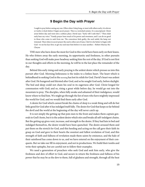#### **9 Begin the Day with Prayer**

<span id="page-22-0"></span>I ought to pray before seeing any one. Often when I sleep long, or meet with others early, it is eleven or twelve o'clock before I begin secret prayer. This is a wretched system. It is unscriptural. Christ arose before day and went into a solitary place. David says: "Early will I seek thee"; "Thou shalt early hear my voice." Family prayer loses much of its power and sweetness, and I can do no good to those who come to seek from me. The conscience feels guilty, the soul unfed, the lamp not trimmed. Then when in secret prayer the soul is often out of tune, I feel it is far better to begin with God—to see his face first, to get my soul near him before it is near another.—Robert Murray Mc-Cheyne

THE men who have done the most for God in this world have been early on their knees. He who fritters away the early morning, its opportunity and freshness, in other pursuits than seeking God will make poor headway seeking him the rest of the day. If God is not first in our thoughts and efforts in the morning, he will be in the last place the remainder of the day.

Behind this early rising and early praying is the ardent desire which presses us into this pursuit after God. Morning listlessness is the index to a listless heart. The heart which is behindhand in seeking God in the morning has lost its relish for God. David's heart was ardent after God. He hungered and thirsted after God, and so he sought God early, before daylight. The bed and sleep could not chain his soul in its eagerness after God. Christ longed for communion with God; and so, rising a great while before day, he would go out into the mountain to pray. The disciples, when fully awake and ashamed of their indulgence, would know where to find him. We might go through the list of men who have mightily impressed the world for God, and we would find them early after God.

A desire for God which cannot break the chains of sleep is a weak thing and will do but little good for God after it has indulged itself fully. The desire for God that keeps so far behind the devil and the world at the beginning of the day will never catch up.

It is not simply the getting up that puts men to the front and makes them captain generals in God's hosts, but it is the ardent desire which stirs and breaks all self-indulgent chains. But the getting up gives vent, increase, and strength to the desire. If they had lain in bed and indulged themselves, the desire would have been quenched. The desire aroused them and put them on the stretch for God, and this heeding and acting on the call gave their faith its grasp on God and gave to their hearts the sweetest and fullest revelation of God, and this strength of faith and fullness of revelation made them saints by eminence, and the halo of their sainthood has come down to us, and we have entered on the enjoyment of their conquests. But we take our fill in enjoyment, and not in productions. We build their tombs and write their epitaphs, but are careful not to follow their examples.

We need a generation of preachers who seek God and seek him early, who give the freshness and dew of effort to God, and secure in return the freshness and fullness of his power that he may be as the dew to them, full of gladness and strength, through all the heat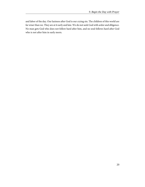and labor of the day. Our laziness after God is our crying sin. The children of this world are far wiser than we. They are at it early and late. We do not seek God with ardor and diligence. No man gets God who does not follow hard after him, and no soul follows hard after God who is not after him in early morn.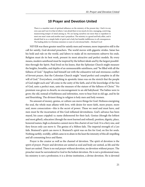#### **10 Prayer and Devotion United**

<span id="page-24-0"></span>There is a manifest want of spiritual influence on the ministry of the present day. I feel it in my own case and I see it in that of others. I am afraid there is too much of a low, managing, contriving, maneuvering temper of mind among us. We are laying ourselves out more than is expedient to meet one man's taste and another man's prejudices. The ministry is a grand and holy affair, and it should find in us a simple habit of spirit and a holy but humble indifference to all consequences. The leading defect in Christian ministers is want of a devotional habit.—Richard Cecil

NEVER was there greater need for saintly men and women; more imperative still is the call for saintly, God-devoted preachers. The world moves with gigantic strides. Satan has his hold and rule on the world, and labors to make all its movements subserve his ends. Religion must do its best work, present its most attractive and perfect models. By every means, modern sainthood must be inspired by the loftiest ideals and by the largest possibilities through the Spirit. Paul lived on his knees, that the Ephesian Church might measure the heights, breadths, and depths of an unmeasurable saintliness, and "be filled with all the fullness of God." Epaphras laid himself out with the exhaustive toil and strenuous conflict of fervent prayer, that the Colossian Church might "stand perfect and complete in all the will of God." Everywhere, everything in apostolic times was on the stretch that the people of God might each and "all come in the unity of the faith, and of the knowledge of the Son of God, unto a perfect man, unto the measure of the stature of the fullness of Christ." No premium was given to dwarfs; no encouragement to an old babyhood. The babies were to grow; the old, instead of feebleness and infirmities, were to bear fruit in old age, and be fat and flourishing. The divinest thing in religion is holy men and holy women.

No amount of money, genius, or culture can move things for God. Holiness energizing the soul, the whole man aflame with love, with desire for more faith, more prayer, more zeal, more consecration—this is the secret of power. These we need and must have, and men must be the incarnation of this God-inflamed devotedness. God's advance has been stayed, his cause crippled: his name dishonored for their lack. Genius (though the loftiest and most gifted), education (though the most learned and refined), position, dignity, place, honored names, high ecclesiastics cannot move this chariot of our God. It is a fiery one, and fiery forces only can move it. The genius of a Milton fails. The imperial strength of a Leo fails. Brainerd's spirit can move it. Brainerd's spirit was on fire for God, on fire for souls. Nothing earthly, worldly, selfish came in to abate in the least the intensity of this all-impelling and all-consuming force and flame.

Prayer is the creator as well as the channel of devotion. The spirit of devotion is the spirit of prayer. Prayer and devotion are united as soul and body are united, as life and the heart are united. There is no real prayer without devotion, no devotion without prayer. The preacher must be surrendered to God in the holiest devotion. He is not a professional man, his ministry is not a profession; it is a divine institution, a divine devotion. He is devoted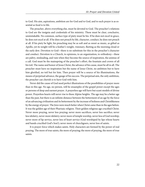to God. His aim, aspirations, ambition are for God and to God, and to such prayer is as essential as food is to life.

The preacher, above everything else, must be devoted to God. The preacher's relations to God are the insignia and credentials of his ministry. These must be clear, conclusive, unmistakable. No common, surface type of piety must be his. If he does not excel in grace, he does not excel at all. If he does not preach by life, character, conduct, he does not preach at all. If his piety be light, his preaching may be as soft and as sweet as music, as gifted as Apollo, yet its weight will be a feather's weight, visionary, fleeting as the morning cloud or the early dew. Devotion to God—there is no substitute for this in the preacher's character and conduct. Devotion to a Church, to opinions, to an organization, to orthodoxy—these are paltry, misleading, and vain when they become the source of inspiration, the animus of a call. God must be the mainspring of the preacher's effort, the fountain and crown of all his toil. The name and honor of Jesus Christ, the advance of his cause, must be all in all. The preacher must have no inspiration but the name of Jesus Christ, no ambition but to have him glorified, no toil but for him. Then prayer will be a source of his illuminations, the means of perpetual advance, the gauge of his success. The perpetual aim, the only ambition, the preacher can cherish is to have God with him.

Never did the cause of God need perfect illustrations of the possibilities of prayer more than in this age. No age, no person, will be ensamples of the gospel power except the ages or persons of deep and earnest prayer. A prayerless age will have but scant models of divine power. Prayerless hearts will never rise to these Alpine heights. The age may be a better age than the past, but there is an infinite distance between the betterment of an age by the force of an advancing civilization and its betterment by the increase of holiness and Christlikeness by the energy of prayer. The Jews were much better when Christ came than in the ages before. It was the golden age of their Pharisaic religion. Their golden religious age crucified Christ. Never more praying, never less praying; never more sacrifices, never less sacrifice; never less idolatry, never more idolatry; never more of temple worship, never less of God worship; never more of lip service, never less of heart service (God worshiped by lips whose hearts and hands crucified God's Son!); never more of churchgoers, never less of saints.

It is prayer-force which makes saints. Holy characters are formed by the power of real praying. The more of true saints, the more of praying; the more of praying, the more of true saints.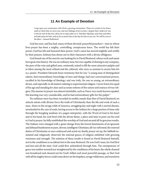#### **11 An Example of Devotion**

<span id="page-26-0"></span>I urge upon you communion with Christ a growing communion. There are curtains to be drawn aside in Christ that we never saw, and new foldings of love in him. I despair that I shall ever win to the far end of that love, there are so many plies in it. Therefore dig deep, and sweat and labor and take pains for him, and set by as much time in the day for him as you can. We will be won in the labor.—Samuel Rutherford

God has now, and has had, many of these devoted, prayerful preachers—men in whose lives prayer has been a mighty, controlling, conspicuous force. The world has felt their power, God has felt and honored their power, God's cause has moved mightily and swiftly by their prayers, holiness has shone out in their characters with a divine effulgence.

God found one of the men he was looking for in David Brainerd, whose work and name have gone into history. He was no ordinary man, but was capable of shining in any company, the peer of the wise and gifted ones, eminently suited to fill the most attractive pulpits and to labor among the most refined and the cultured, who were so anxious to secure him for their pastor. President Edwards bears testimony that he was "a young man of distingushed talents, had extraordinary knowledge of men and things, had rare conversational powers, excelled in his knowledge of theology, and was truly, for one so young, an extraordinary divine, and especially in all matters relating to experimental religion. I never knew his equal of his age and standing for clear and accurate notions of the nature and essence of true religion. His manner in prayer was almost inimitable, such as I have very rarely known equaled. His learning was very considerable, and he had extraordinary gifts for the pulpit."

No sublimer story has been recorded in earthly annals than that of David Brainerd; no miracle attests with diviner force the truth of Christianity than the life and work of such a man. Alone in the savage wilds of America, struggling day and night with a mortal disease, unschooled in the care of souls, having access to the Indians for a large portion of time only through the bungling medium of a pagan interpreter, with the Word of God in his heart and in his hand, his soul fired with the divine flame, a place and time to pour out his soul to God in prayer, he fully established the worship of God and secured all its gracious results. The Indians were changed with a great change from the lowest besotments of an ignorant and debased heathenism to pure, devout, intelligent Christians; all vice reformed, the external duties of Christianity at once embraced and acted on; family prayer set up; the Sabbath instituted and religiously observed; the internal graces of religion exhibited with growing sweetness and strength. The solution of these results is found in David Brainerd himself, not in the conditions or accidents but in the man Brainerd. He was God's man, for God first and last and all the time. God could flow unhindered through him. The omnipotence of grace was neither arrested nor straightened by the conditions of his heart; the whole channel was broadened and cleaned out for God's fullest and most powerful passage, so that God with all his mighty forces could come down on the hopeless, savage wilderness, and transform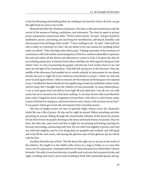it into his blooming and fruitful garden; for nothing is too hard for God to do if he can get the right kind of a man to do it with.

Brainerd lived the life of holiness and prayer. His diary is full and monotonous with the record of his seasons of fasting, meditation, and retirement. The time he spent in private prayer amounted to many hours daily. "When I return home," he said, "and give myself to meditation, prayer, and fasting, my soul longs for mortification, self-denial, humility, and divorcement from all things of the world." "I have nothing to do," he said, "with earth but only to labor in it honestly for God. I do not desire to live one minute for anything which earth can afford." After this high order did he pray: "Feeling somewhat of the sweetness of communion with God and the constraining force of his love, and how admirably it captivates the soul and makes all the desires and affections to center in God, I set apart this day for secret fasting and prayer, to entreat God to direct and bless me with regard to the great work which I have in view of preaching the gospel, and that the Lord would return to me and show me the light of his countenance. I had little life and power in the forenoon. Near the middle of the afternoon God enabled me to wrestle ardently in intercession for my absent friends, but just at night the Lord visited me marvelously in prayer. I think my soul was never in such agony before. I felt no restraint, for the treasures of divine grace were opened to me. I wrestled for absent friends, for the ingathering of souls, for multitudes of poor souls, and for many that I thought were the children of God, personally, in many distant places. I was in such agony from sun half an hour high till near dark that I was all over wet with sweat, but yet it seemed to me I had done nothing. O, my dear Saviour did sweat blood for poor souls! I longed for more compassion toward them. I felt still in a sweet frame, under a sense of divine love and grace, and went to bed in such a frame, with my heart set on God." It was prayer which gave to his life and ministry their marvelous power.

The men of mighty prayer are men of spiritual might. Prayers never die. Brainerd's whole life was a life of prayer. By day and by night he prayed. Before preaching and after preaching he prayed. Riding through the interminable solitudes of the forests he prayed. On his bed of straw he prayed. Retiring to the dense and lonely forests, he prayed. Hour by hour, day after day, early morn and late at night, he was praying and fasting, pouring out his soul, interceding, communing with God. He was with God mightily in prayer, and God was with him mightily, and by it he being dead yet speaketh and worketh, and will speak and work till the end comes, and among the glorious ones of that glorious day he will be with the first.

Jonathan Edwards says of him: "His life shows the right way to success in the works of the ministry. He sought it as the soldier seeks victory in a siege or battle; or as a man that runs a race for a great prize. Animated with love to Christ and souls, how did he labor? Always fervently. Not only in word and doctrine, in public and in private, but in prayers by day and night, wrestling with God in secret and travailing in birth with unutterable groans and ag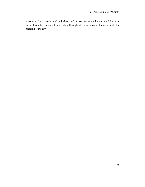onies, until Christ was formed in the hearts of the people to whom he was sent. Like a true son of Jacob, he persevered in wrestling through all the darkness of the night, until the breaking of the day!"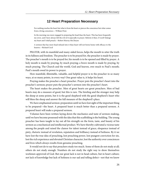#### **12 Heart Preparation Necessary**

<span id="page-29-0"></span>For nothing reaches the heart but what is from the heart or pierces the conscience but what comes from a living conscience.—William Penn

In the morning was more engaged in preparing the head than the heart. This has been frequently my error, and I have always felt the evil of it especially in prayer. Reform it then, O Lord! Enlarge my heart and I shall preach.—Robert Murray McCheyne

A sermon that has more head infused into it than heart will not borne home with efficacy to the hearers.—Richard Cecil

PRAYER, with its manifold and many-sided forces, helps the mouth to utter the truth in its fullness and freedom. The preacher is to be prayed for, the preacher is made by prayer. The preacher's mouth is to be prayed for; his mouth is to be opened and filled by prayer. A holy mouth is made by praying, by much praying; a brave mouth is made by praying, by much praying. The Church and the world, God and heaven, owe much to Paul's mouth; Paul's mouth owed its power to prayer.

How manifold, illimitable, valuable, and helpful prayer is to the preacher in so many ways, at so many points, in every way! One great value is, it helps his heart.

Praying makes the preacher a heart preacher. Prayer puts the preacher's heart into the preacher's sermon; prayer puts the preacher's sermon into the preacher's heart.

The heart makes the preacher. Men of great hearts are great preachers. Men of bad hearts may do a measure of good, but this is rare. The hireling and the stranger may help the sheep at some points, but it is the good shepherd with the good shepherd's heart who will bless the sheep and answer the full measure of the shepherd's place.

We have emphasized sermon-preparation until we have lost sight of the important thing to be prepared—the heart. A prepared heart is much better than a prepared sermon. A prepared heart will make a prepared sermon.

Volumes have been written laying down the mechanics and taste of sermon-making, until we have become possessed with the idea that this scaffolding is the building. The young preacher has been taught to lay out all his strength on the form, taste, and beauty of his sermon as a mechanical and intellectual product. We have thereby cultivated a vicious taste among the people and raised the clamor for talent instead of grace, eloquence instead of piety, rhetoric instead of revelation, reputation and brilliancy instead of holiness. By it we have lost the true idea of preaching, lost preaching power, lost pungent conviction for sin, lost the rich experience and elevated Christian character, lost the authority over consciences and lives which always results from genuine preaching.

It would not do to say that preachers study too much. Some of them do not study at all; others do not study enough. Numbers do not study the right way to show themselves workmen approved of God. But our great lack is not in head culture, but in heart culture; not lack of knowledge but lack of holiness is our sad and telling defect—not that we know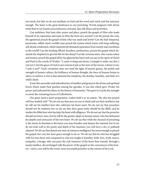too much, but that we do not meditate on God and his word and watch and fast and pray enough. The heart is the great hindrance to our preaching. Words pregnant with divine truth find in our hearts nonconductors; arrested, they fall shorn and powerless.

Can ambition, that lusts after praise and place, preach the gospel of Him who made himself of no reputation and took on Him the form of a servant? Can the proud, the vain, the egotistical preach the gospel of him who was meek and lowly? Can the bad-tempered, passionate, selfish, hard, worldly man preach the system which teems with long-suffering, self-denial, tenderness, which imperatively demands separation from enmity and crucifixion to the world? Can the hireling official, heartless, perfunctory, preach the gospel which demands the shepherd to give his life for the sheep? Can the covetous man, who counts salary and money, preach the gospel till he has gleaned his heart and can say in the spirit of Christ and Paul in the words of Wesley: "I count it dung and dross; I trample it under my feet; I (yet not I, but the grace of God in me) esteem it just as the mire of the streets, I desire it not, I seek it not?" God's revelation does not need the light of human genius, the polish and strength of human culture, the brilliancy of human thought, the force of human brains to adorn or enforce it; but it does demand the simplicity, the docility, humility, and faith of a child's heart.

It was this surrender and subordination of intellect and genius to the divine and spiritual forces which made Paul peerless among the apostles. It was this which gave Wesley his power and radicated his labors in the history of humanity. This gave to Loyola the strength to arrest the retreating forces of Catholicism.

Our great need is heart-preparation. Luther held it as an axiom: "He who has prayed well has studied well." We do not say that men are not to think and use their intellects; but he will use his intellect best who cultivates his heart most. We do not say that preachers should not be students; but we do say that their great study should be the Bible, and he studies the Bible best who has kept his heart with diligence. We do not say that the preacher should not know men, but he will be the greater adept in human nature who has fathomed the depths and intricacies of his own heart. We do say that while the channel of preaching is the mind, its fountain is the heart; you may broaden and deepen the channel, but if you do not look well to the purity and depth of the fountain, you will have a dry or polluted channel. We do say that almost any man of common intelligence has sense enough to preach the gospel, but very few have grace enough to do so. We do say that he who has struggled with his own heart and conquered it; who has taught it humility, faith, love, truth, mercy, sympathy, courage; who can pour the rich treasures of the heart thus trained, through a manly intellect, all surcharged with the power of the gospel on the consciences of his hearers—such a one will be the truest, most successful preacher in the esteem of his Lord.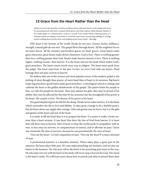#### <span id="page-31-0"></span>**13 Grace from the Heart Rather than the Head**

Study not to be a fine preacher. Jerichos are blown down with rams' horns. Look simply unto Jesus for preaching food; and what is wanted will be given, and what is given will be blessed, whether it be a barley grain or a wheaten loaf, a crust or a crumb. Your mouth will be a flowing stream or a fountain sealed, according as your heart is. Avoid all controversy in preaching, talking, or writing; preach nothing down but the devil, and nothing up but Jesus Christ.—Berridge

THE heart is the Saviour of the world. Heads do not save. Genius, brains, brilliancy, strength, natural gifts do not save. The gospel flows through hearts. All the mightiest forces are heart forces. All the sweetest and loveliest graces are heart graces. Great hearts make great characters; great hearts make divine characters. God is love. There is nothing greater than love, nothing greater than God. Hearts make heaven; heaven is love. There is nothing higher, nothing sweeter, than heaven. It is the heart and not the head which makes God's great preachers. The heart counts much every way in religion. The heart must speak from the pulpit. The heart must hear in the pew. In fact, we serve God with our hearts. Head homage does not pass current in heaven.

We believe that one of the serious and most popular errors of the modern pulpit is the putting of more thought than prayer, of more head than of heart in its sermons. Big hearts make big preachers; good hearts make good preachers. A theological school to enlarge and cultivate the heart is the golden desideratum of the gospel. The pastor binds his people to him and rules his people by his heart. They may admire his gifts, they may be proud of his ability, they may be affected for the time by his sermons; but the stronghold of his power is his heart. His scepter is love. The throne of his power is his heart.

The good shepherd gives his life for the sheep. Heads never make martyrs. It is the heart which surrenders the life to love and fidelity. It takes great courage to be a faithful pastor, but the heart alone can supply this courage. Gifts and genius may be brave, but it is the gifts and genius of the heart and not of the head.

It is easier to fill the head than it is to prepare the heart. It is easier to make a brain sermon than a heart sermon. It was heart that drew the Son of God from heaven. It is heart that will draw men to heaven. Men of heart is what the world needs to sympathize with its woe, to kiss away its sorrows, to compassionate its misery, and to alleviate its pain. Christ was eminently the man of sorrows, because he was preeminently the man of heart.

"Give me thy heart," is God's requisition of men. "Give me thy heart!Ý is man's demand of man.

A professional ministry is a heartless ministry. When salary plays a great part in the ministry, the heart plays little part. We may make preaching our business, and not put our hearts in the business. He who puts self to the front in his preaching puts heart to the rear. He who does not sow with his heart in his study will never reap a harvest for God. The closet is the heart's study. We will learn more about how to preach and what to preach there than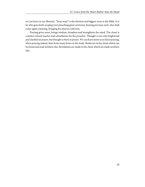we can learn in our libraries. "Jesus wept" is the shortest and biggest verse in the Bible. It is he who goes forth weeping (not preaching great sermons), bearing precious seed, who shall come again rejoicing, bringing his sheaves with him.

Praying gives sense, brings wisdom, broadens and strengthens the mind. The closet is a perfect school-teacher and schoolhouse for the preacher. Thought is not only brightened and clarified in prayer, but thought is born in prayer. We can learn more in an hour praying, when praying indeed, than from many hours in the study. Books are in the closet which can be found and read nowhere else. Revelations are made in the closet which are made nowhere else.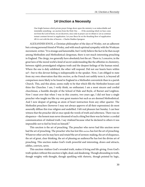#### **14 Unction a Necessity**

<span id="page-33-0"></span>One bright benison which private prayer brings down upon the ministry is an indescribable and inimitable something—an unction from the Holy One . . . . If the anointing which we bear come not from the Lord of hosts, we are deceivers, since only in prayer can we obtain it. Let us continue instant constant fervent in supplication. Let your fleece lie on the thrashing floor of supplication till it is wet with the dew of heaven.—Charles Haddon Spurgeon

ALEXANDER KNOX, a Christian philosopher of the days of Wesley, not an adherent but a strong personal friend of Wesley, and with much spiritual sympathy with the Wesleyan movement, writes: "It is strange and lamentable, but I verily believe the fact to be that except among Methodists and Methodistical clergyman, there is not much interesting preaching in England. The clergy, too generally have absolutely lost the art. There is, I conceive, in the great laws of the moral world a kind of secret understanding like the affinities in chemistry, between rightly promulgated religious truth and the deepest feelings of the human mind. Where the one is duly exhibited, the other will respond. Did not our hearts burn within us?—but to this devout feeling is indispensable in the speaker. Now, I am obliged to state from my own observation that this *onction*, as the French not unfitly term it, is beyond all comparison more likely to be found in England in a Methodist conventicle than in a parish Church. This, and this alone, seems really to be that which fills the Methodist houses and thins the Churches. I am, I verily think, no enthusiast; I am a most sincere and cordial churchman, a humble disciple of the School of Hale and Boyle, of Burnet and Leighton. Now I must aver that when I was in this country, two years ago, I did not hear a single preacher who taught me like my own great masters but such as are deemed Methodistical. And I now despair of getting an atom of heart instruction from any other quarter. The Methodist preachers (however I may not always approve of all their expressions) do most assuredly diffuse this true religion and undefiled. I felt real pleasure last Sunday. I can bear witness that the preacher did at once speak the words of truth and soberness. There was no eloquence—the honest man never dreamed of such a thing'but there was far better: a cordial communication of vitalized truth. I say vitalized because what he declared to others it was impossible not to feel he lived on himself."

This unction is the art of preaching. The preacher who never had this unction never had the art of preaching. The preacher who has lost this unction has lost the art of preaching. Whatever other arts he may have and retain?the art of sermon-making, the art of eloquence, the art of great, clear thinking, the art of pleasing an audience?he has lost the divine art of preaching. This unction makes God's truth powerful and interesting, draws and attracts, edifies, convicts, saves.

This unction vitalizes God's revealed truth, makes it living and life-giving. Even God's truth spoken without this unction is light, dead, and deadening. Though abounding in truth, though weighty with thought, though sparkling with rhetoric, though pointed by logic,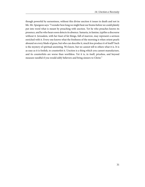though powerful by earnestness, without this divine unction it issues in death and not in life. Mr. Spurgeon says: "I wonder how long we might beat our brains before we could plainly put into word what is meant by preaching with unction. Yet he who preaches knows its presence, and he who hears soon detects its absence. Samaria, in famine, typifies a discourse without it. Jerusalem, with her feast of fat things, full of marrow, may represent a sermon enriched with it. Every one knows what the freshness of the morning is when orient pearls abound on every blade of grass, but who can describe it, much less produce it of itself? Such is the mystery of spiritual anointing. We know, but we cannot tell to others what it is. It is as easy as it is foolish, to counterfeit it. Unction is a thing which you cannot manufacture, and its counterfeits are worse than worthless. Yet it is, in itself, priceless, and beyond measure needful if you would edify believers and bring sinners to Christ."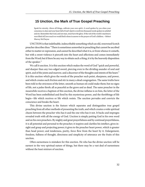#### <span id="page-35-0"></span>**15 Unction, the Mark of True Gospel Preaching**

Speak for eternity. Above all things, cultivate your own spirit. A word spoken by you when your conscience is clear and your heart full of God's Spirit is worth ten thousand words spoken in unbelief and sin. Remember that God, and not man, must have the glory. If the veil of the world's machinery were lifted off, how much we would find is done in answer to the prayers of God's children.—Robert Murray McCheyne

UNCTION is that indefinable, indescribable something which an old, renowned Scotch preacher describes thus: "There is sometimes somewhat in preaching that cannot be ascribed either to matter or expression, and cannot be described what it is, or from whence it cometh, but with a sweet violence it pierceth into the heart and affections and comes immediately from the Word; but if there be any way to obtain such a thing, it is by the heavenly disposition of the speaker."

We call it unction. It is this unction which makes the word of God "quick and powerful, and sharper than any two-edged sword, piercing even to the dividing asunder of soul and spirit, and of the joints and marrow, and a discerner of the thoughts and intents of the heart." It is this unction which gives the words of the preacher such point, sharpness, and power, and which creates such friction and stir in many a dead congregation. The same truths have been told in the strictness of the letter, smooth as human oil could make them; but no signs of life, not a pulse throb; all as peaceful as the grave and as dead. The same preacher in the meanwhile receives a baptism of this unction, the divine inflatus is on him, the letter of the Word has been embellished and fired by this mysterious power, and the throbbings of life begin—life which receives or life which resists. The unction pervades and convicts the conscience and breaks the heart.

This divine unction is the feature which separates and distinguishes true gospel preaching from all other methods of presenting the truth, and which creates a wide spiritual chasm between the preacher who has it and the one who has it not. It backs and impregns revealed truth with all the energy of God. Unction is simply putting God in his own word and on his own preachers. By mighty and great prayerfulness and by continual prayerfulness, it is all potential and personal to the preacher; it inspires and clarifies his intellect, gives insight and grasp and projecting power; it gives to the preacher heart power, which is greater than head power; and tenderness, purity, force flow from the heart by it. Enlargement, freedom, fullness of thought, directness and simplicity of utterance are the fruits of this unction.

Often earnestness is mistaken for this unction. He who has the divine unction will be earnest in the very spiritual nature of things, but there may be a vast deal of earnestness without the least mixture of unction.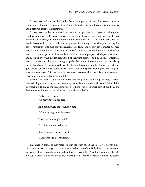Earnestness and unction look alike from some points of view. Earnestness may be readily and without detection substituted or mistaken for unction. It requires a spiritual eye and a spiritual taste to discriminate.

Earnestness may be sincere, serious, ardent, and persevering. It goes at a thing with good will, pursues it with perseverance, and urges it with ardor; puts force in it. But all these forces do not rise higher than the mere human. The *man* is in it—the whole man, with all that he has of will and heart, of brain and genius, of planning and working and talking. He has set himself to some purpose which has mastered him, and he pursues to master it. There may be none of God in it. There may be little of God in it, because there is so much of the man in it. He may present pleas in advocacy of his earnest purpose which please or touch and move or overwhelm with conviction of their importance; and in all this earnestness may move along earthly ways, being propelled by human forces only, its altar made by earthly hands and its fire kindled by earthly flames. It is said of a rather famous preacher of gifts, whose construction of Scripture was to his fancy or purpose, that he "grew very eloquent over his own exegesis." So men grow exceeding earnest over their own plans or movements. Earnestness may be selfishness simulated.

What of unction? It is the indefinable in preaching which makes it preaching. It is that which distinguishes and separates preaching from all mere human addresses. It is the divine in preaching. It makes the preaching sharp to those who need sharpness. It distills as the dew to those who need to he refreshed. It is well described as:

> "a two-edged sword Of heavenly temper keen,

And double were the wounds it made

Wherever it glanced between.

'Twas death to silt; 'twas life

To all who mourned for sin.

It kindled and it silenced strife,

Made war and peace within."

This unction comes to the preacher not in the study but in the closet. It is heaven's distillation in answer to prayer. It is the sweetest exhalation of the Holy Spirit. It impregnates, suffuses, softens, percolates, cuts, and soothes. It carries the Word like dynamite, like salt, like sugar; makes the Word a soother, an arranger, a revealer, a searcher; makes the hearer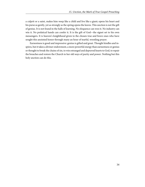a culprit or a saint, makes him weep like a child and live like a giant; opens his heart and his purse as gently, yet as strongly as the spring opens the leaves. This unction is not the gift of genius. It is not found in the halls of learning. No eloquence can woo it. No industry can win it. No prelatical hands can confer it. It is the gift of God—the signet set to his own messengers. It is heaven's knighthood given to the chosen true and brave ones who have sought this anointed honor through many an hour of tearful, wrestling prayer.

Earnestness is good and impressive: genius is gifted and great. Thought kindles and inspires, but it takes a diviner endowment, a more powerful energy than earnestness or genius or thought to break the chains of sin, to win estranged and depraved hearts to God, to repair the breaches and restore the Church to her old ways of purity and power. Nothing but this holy unction can do this.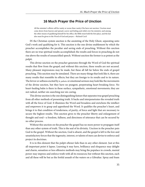#### **16 Much Prayer the Price of Unction**

<span id="page-38-0"></span>All the minister's efforts will be vanity or worse than vanity if he have not unction. Unction must come down from heaven and spread a savor and feeling and relish over his ministry; and among the other means of qualifying himself for his office, the Bible must hold the first place, and the last also must be given to the Word of God and prayer.—Richard Cecil

IN the Christian system unction is the anointing of the Holy Ghost, separating unto God's work and qualifying for it. This unction is the one divine enablement by which the preacher accomplishes the peculiar and saving ends of preaching. Without this unction there are no true spiritual results accomplished; the results and forces in preaching do not rise above the results of unsanctified speech. Without unction the former is as potent as the pulpit.

This divine unction on the preacher generates through the Word of God the spiritual results that flow from the gospel; and without this unction, these results are not secured. Many pleasant impressions may be made, but these all fall far below the ends of gospel preaching. This unction may be simulated. There are many things that look like it, there are many results that resemble its effects; but they are foreign to its results and to its nature. The fervor or softness excited by a pathetic or emotional sermon may look like the movements of the divine unction, but they have no pungent, perpetrating heart-breaking force. No heart-healing balm is there in these surface, sympathetic, emotional movements; they are not radical, neither sin-searching nor sin-curing.

This divine unction is the one distinguishing feature that separates true gospel preaching from all other methods of presenting truth. It backs and interpenetrates the revealed truth with all the force of God. It illumines the Word and broadens and enrichens the intellect and empowers it to grasp and apprehend the Word. It qualifies the preacher's heart, and brings it to that condition of tenderness, of purity, of force and light that are necessary to secure the highest results. This unction gives to the preacher liberty and enlargement of thought and soul—a freedom, fullness, and directness of utterance that can be secured by no other process.

Without this unction on the preacher the gospel has no more power to propagate itself than any other system of truth. This is the seal of its divinity. Unction in the preacher puts God in the gospel. Without the unction, God is absent, and the gospel is left to the low and unsatisfactory forces that the ingenuity, interest, or talents of men can devise to enforce and project its doctrines.

It is in this element that the pulpit oftener fails than in any other element. Just at this all-important point it lapses. Learning it may have, brilliancy and eloquence may delight and charm, sensation or less offensive methods may bring the populace in crowds, mental power may impress and enforce truth with all its resources; but without this unction, each and all these will be but as the fretful assault of the waters on a Gibraltar. Spray and foam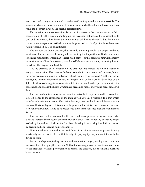may cover and spangle; but the rocks are there still, unimpressed and unimpressible. The human heart can no more be swept of its hardness and sin by these human forces than these rocks can be swept away by the ocean's ceaseless flow.

This unction is the consecration force, and its presence the continuous test of that consecration. It is this divine anointing on the preacher that secures his consecration to God and his work. Other forces and motives may call him to the work, but this only is consecration. A separation to God's work by the power of the Holy Spirit is the only consecration recognized by God as legitimate.

The unction, the divine unction, this heavenly anointing, is what the pulpit needs and must have. This divine and heavenly oil put on it by the imposition of God's hand must soften and lubricate the whole man—heart, head, spirit—until it separates him with a mighty separation from all earthly, secular, worldly, selfish motives and aims, separating him to everything that is pure and Godlike.

It is the presence of this unction on the preacher that creates the stir and friction in many a congregation. The same truths have been told in the strictness of the letter, but no ruffle has been seen, no pain or pulsation felt. All is quiet as a graveyard. Another preacher comes, and this mysterious influence is on him; the letter of the Word has been fired by the Spirit, the throes of a mighty movement are felt, it is the unction that pervades and stirs the conscience and breaks the heart. Unctionless preaching makes everything hard, dry, acrid, dead.

This unction is not a memory or an era of the past only; it is a present, realized, conscious fact. It belongs to the experience of the man as well as to his preaching. It is that which transforms him into the image of his divine Master, as well as that by which he declares the truths of Christ with power. It is so much the power in the ministry as to make all else seem feeble and vain without it, and by its presence to atone for the absence of all other and feebler forces.

This unction is not an inalienable gift. It is a conditional gift, and its presence is perpetuated and increased by the same process by which it was at first secured; by unceasing prayer to God, by impassioned desires after God, by estimating it, by seeking it with tireless ardor, by deeming all else loss and failure without it.

How and whence comes this unction? Direct from God in answer to prayer. Praying hearts only are the hearts filled with this holy oil; praying lips only are anointed with this divine unction.

Prayer, much prayer, is the price of preaching unction; prayer, much prayer, is the one, sole condition of keeping this unction. Without unceasing prayer the unction never comes to the preacher. Without perseverance in prayer, the unction, like the manna overkept, breeds worms.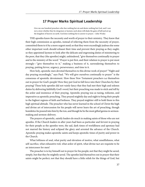#### **17 Prayer Marks Spiritual Leadership**

<span id="page-40-0"></span>Give me one hundred preachers who fear nothing but sin and desire nothing but God, and I care not a straw whether they be clergymen or laymen; such alone will shake the gates of hell and set up the kingdom of heaven on earth. God does nothing but in answer to prayer.—John Wesley

THE apostles knew the necessity and worth of prayer to their ministry. They knew that their high commission as apostles, instead of relieving them from the necessity of prayer, committed them to it by a more urgent need; so that they were exceedingly jealous else some other important work should exhaust their time and prevent their praying as they ought; so they appointed laymen to look after the delicate and engrossing duties of ministering to the poor, that they (the apostles) might, unhindered, "give themselves continually to prayer and to the ministry of the word." Prayer is put first, and their relation to prayer is put most strongly—"give themselves to it," making a business of it, surrendering themselves to praying, putting fervor, urgency, perseverance, and time in it.

How holy, apostolic men devoted themselves to this divine work of prayer! "Night and day praying exceedingly," says Paul. "We will give ourselves continually to prayer" is the consensus of apostolic devotement. How these New Testament preachers laid themselves out in prayer for God's people! How they put God in full force into their Churches by their praying! These holy apostles did not vainly fancy that they had met their high and solemn duties by delivering faithfully God's word, but their preaching was made to stick and tell by the ardor and insistence of their praying. Apostolic praying was as taxing, toilsome, and imperative as apostolic preaching. They prayed mightily day and night to bring their people to the highest regions of faith and holiness. They prayed mightier still to hold them to this high spiritual altitude. The preacher who has never learned in the school of Christ the high and divine art of intercession for his people will never learn the art of preaching, though homiletics be poured into him by the ton, and though he be the most gifted genius in sermonmaking and sermon-delivery.

The prayers of apostolic, saintly leaders do much in making saints of those who are not apostles. If the Church leaders in after years had been as particular and fervent in praying for their people as the apostles were, the sad, dark times of worldliness and apostasy had not marred the history and eclipsed the glory and arrested the advance of the Church. Apostolic praying makes apostolic saints and keeps apostolic times of purity and power in the Church.

What loftiness of soul, what purity and elevation of motive, what unselfishness, what self-sacrifice, what exhaustive toil, what ardor of spirit, what divine tact are requisite to be an intercessor for men!

The preacher is to lay himself out in prayer for his people; not that they might be saved, simply, but that they be mightily saved. The apostles laid themselves out in prayer that their saints might be perfect; not that they should have a little relish for the things of God, but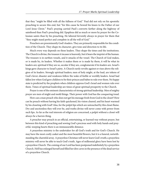that they "might be filled with all the fullness of God." Paul did not rely on his apostolic preaching to secure this end, but "for this cause he bowed his knees to the Father of our Lord Jesus Christ." Paul's praying carried Paul's converts farther along the highway of sainthood than Paul's preaching did. Epaphras did as much or more by prayer for the Colossian saints than by his preaching. He labored fervently always in prayer for them that "they might stand perfect and complete in all the will of God."

Preachers are preeminently God's leaders. They are primarily responsible for the condition of the Church. They shape its character, give tone and direction to its life.

Much every way depends on these leaders. They shape the times and the institutions. The Church is divine, the treasure it incases is heavenly, but it bears the imprint of the human. The treasure is in earthen vessels, and it smacks of the vessel. The Church of God makes, or is made by, its leaders. Whether it makes them or is made by them, it will be what its leaders are; spiritual if they are so, secular if they are, conglomerate if its leaders are. Israel's kings gave character to Israel's piety. A Church rarely revolts against or rises above the religion of its leaders. Strongly spiritual leaders; men of holy might, at the lead, are tokens of God's favor; disaster and weakness follow the wake of feeble or worldly leaders. Israel had fallen low when God gave children to be their princes and babes to rule over them. No happy state is predicted by the prophets when children oppress God's Israel and women rule over them. Times of spiritual leadership are times of great spiritual prosperity to the Church.

Prayer is one of the eminent characteristics of strong spiritual leadership. Men of mighty prayer are men of might and mold things. Their power with God has the conquering tread.

How can a man preach who does not get his message fresh from God in the closet? How can he preach without having his faith quickened, his vision cleared, and his heart warmed by his closeting with God? Alas, for the pulpit lips which are untouched by this closet flame. Dry and unctionless they will ever be, and truths divine will never come with power from such lips. As far as the real interests of religion are concerned, a pulpit without a closet will always be a barren thing.

A preacher may preach in an official, entertaining, or learned way without prayer, but between this kind of preaching and sowing God's precious seed with holy hands and prayerful, weeping hearts there is an immeasurable distance.

A prayerless ministry is the undertaker for all God's truth and for God's Church. He may have the most costly casket and the most beautiful flowers, but it is a funeral, notwithstanding the charmful array. A prayerless Christian will never learn God's truth; a prayerless ministry will never be able to teach God's truth. Ages of millennial glory have been lost by a prayerless Church. The coming of our Lord has been postponed indefinitely by a prayerless Church. Hell has enlarged herself and filled her dire caves in the presence of the dead service of a prayerless Church.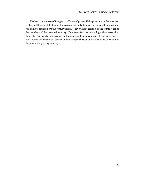The best, the greatest offering is an offering of prayer. If the preachers of the twentieth century will learn well the lesson of prayer, and use fully the power of prayer, the millennium will come to its noon ere the century closes. "Pray without ceasing" is the trumpet call to the preachers of the twentieth century. If the twentieth century will get their texts, their thoughts, their words, their sermons in their closets, the next century will find a new heaven and a new earth. The old sin-stained and sin-eclipsed heaven and earth will pass away under the power of a praying ministry.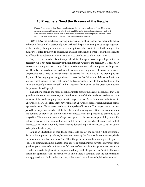#### <span id="page-43-0"></span>**18 Preachers Need the Prayers of the People**

If some Christians that have been complaining of their ministers had said and acted less before men and had applied themselves with all their might to cry to God for their ministers—had, as it were, risen and stormed heaven with their humble, fervent and incessant prayers for them—they would have been much more in the way of success.—Jonathan Edwards

SOMEHOW the practice of praying in particular for the preacher has fallen into disuse or become discounted. Occasionally have we heard the practice arraigned as a disparagement of the ministry, being a public declaration by those who do it of the inefficiency of the ministry. It offends the pride of learning and self-sufficiency, perhaps, and these ought to be offended and rebuked in a ministry that is so derelict as to allow them to exist.

Prayer, to the preacher, is not simply the duty of his profession, a privilege, but it is a necessity. Air is not more necessary to the lungs than prayer is to the preacher. It is absolutely necessary for the preacher to pray. It is an absolute necessity that the preacher be prayed for. These two propositions are wedded into a union which ought never to know any divorce: the preacher must pray; the preacher must be prayed for. It will take all the praying he can do, and all the praying he can get done, to meet the fearful responsibilities and gain the largest, truest success in his great work. The true preacher, next to the cultivation of the spirit and fact of prayer in himself, in their intensest form, covets with a great covetousness the prayers of God's people.

The holier a man is, the more does he estimate prayer; the clearer does he see that God gives himself to the praying ones, and that the measure of God's revelation to the soul is the measure of the soul's longing, importunate prayer for God. Salvation never finds its way to a prayerless heart. The Holy Spirit never abides in a prayerless spirit. Preaching never edifies a prayerless soul. Christ knows nothing of prayerless Christians. The gospel cannot be projected by a prayerless preacher. Gifts, talents, education, eloquence, God's call, cannot abate the demand of prayer, but only intensify the necessity for the preacher to pray and to be prayed for. The more the preacher's eyes are opened to the nature, responsibility, and difficulties in his work, the more will he see, and if he be a true preacher the more will he feel, the necessity of prayer; not only the increasing demand to pray himself, but to call on others to help him by their prayers.

Paul is an illustration of this. If any man could project the gospel by dint of personal force, by brain power, by culture, by personal grace, by God's apostolic commission, God's extraordinary call, that man was Paul. That the preacher must be a man given to prayer, Paul is an eminent example. That the true apostolic preacher must have the prayers of other good people to give to his ministry its full quota of success, Paul is a preeminent example. He asks, he covets, he pleads in an impassioned way for the help of all God's saints. He knew that in the spiritual realm, as elsewhere, in union there is strength; that the concentration and aggregation of faith, desire, and prayer increased the volume of spiritual force until it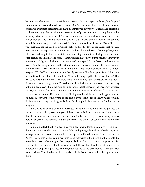became overwhelming and irresistible in its power. Units of prayer combined, like drops of water, make an ocean which defies resistance. So Paul, with his clear and full apprehension of spiritual dynamics, determined to make his ministry as impressive, as eternal, as irresistible as the ocean, by gathering all the scattered units of prayer and precipitating them on his ministry. May not the solution of Paul's preeminence in labors and results, and impress on the Church and the world, be found in this fact that he was able to center on himself and his ministry more of prayer than others? To his brethren at Rome he wrote: "Now I beseech you, brethren, for the Lord Jesus Christ's sake, and for the love of the Spirit, that ye strive together with me in prayers to God for me." To the Ephesians he says: "Praying always with all prayer and supplication in the Spirit, and watching thereunto with all perseverance and supplication for all saints; and for me, that utterance may be given unto me, that I may open my mouth boldly, to make known the mystery of the gospel." To the Colossians he emphasizes: "Withal praying also for us, that God would open unto us a door of utterance, to speak the mystery of Christ, for which I am also in bonds: that I may make it manifest as I ought to speak." To the Thessalonians he says sharply, strongly: "Brethren, pray for us." Paul calls on the Corinthian Church to help him: "Ye also helping together by prayer for us." This was to be part of their work. They were to lay to the helping hand of prayer. He in an additional and closing charge to the Thessalonian Church about the importance and necessity of their prayers says: "Finally, brethren, pray for us, that the word of the Lord may have free course, and be glorified, even as it is with you: and that we may be delivered from unreasonable and wicked men." He impresses the Philippians that all his trials and opposition can be made subservient to the spread of the gospel by the efficiency of their prayers for him. Philemon was to prepare a lodging for him, for through Philemon's prayer Paul was to be his guest.

Paul's attitude on this question illustrates his humility and his deep insight into the spiritual forces which project the gospel. More than this, it teaches a lesson for all times, that if Paul was so dependent on the prayers of God's saints to give his ministry success, how much greater the necessity that the prayers of God's saints be centered on the ministry of to-day!

Paul did not feel that this urgent plea for prayer was to lower his dignity, lessen his influence, or depreciate his piety. What if it did? Let dignity go, let influence be destroyed, let his reputation be marred—he must have their prayers. Called, commissioned, chief of the Apostles as he was, all his equipment was imperfect without the prayers of his people. He wrote letters everywhere, urging them to pray for him. Do you pray for your preacher? Do you pray for him in secret? Public prayers are of little worth unless they are founded on or followed up by private praying. The praying ones are to the preacher as Aaron and Hur were to Moses. They hold up his hands and decide the issue that is so fiercely raging around them.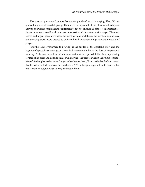The plea and purpose of the apostles were to put the Church to praying. They did not ignore the grace of cheerful giving. They were not ignorant of the place which religious activity and work occupied an the spiritual life; but not one nor all of these, in apostolic estimate or urgency, could at all compare in necessity and importance with prayer. The most sacred and urgent pleas were used, the most fervid exhortations, the most comprehensive and arousing words were uttered to enforce the all-important obligation and necessity of prayer.

"Put the saints everywhere to praying" is the burden of the apostolic effort and the keynote of apostolic success. Jesus Christ had striven to do this in the days of his personal ministry. As he was moved by infinite compassion at the ripened fields of earth perishing for lack of laborers and pausing in his own praying—he tries to awaken the stupid sensibilities of his disciples to the duty of prayer as he charges them, "Pray ye the Lord of the harvest that he will send forth laborers into his harvest." "And he spake a parable unto them to this end, that men ought always to pray and not to faint."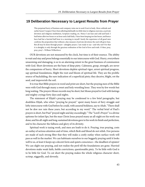#### <span id="page-46-0"></span>**19 Deliberation Necessary to Largest Results from Prayer**

This perpetual hurry of business and company ruins me in soul if not in body. More solitude and earlier hours! I suspect I have been allotting habitually too little time to religious exercises, as private devotion and religious meditation, Scripture-reading, etc. Hence I am lean and cold and hard. I had better allot two hours or an hour and a half daily. I have been keeping too late hours, and hence have had but a hurried half hour in a morning to myself. Surely the experience of all good men confirms the proposition that without a due measure of private devotions the soul will grow lean. But all may be done through prayer—almighty prayer, I am ready to say—and why not? For that it is almighty is only through the gracious ordination of the God of love and truth. O then, pray, pray, pray!—William Wilberforce

OUR devotions are not measured by the clock, but time is of their essence. The ability to wait and stay and press belongs essentially to our intercourse with God. Hurry, everywhere unseeming and damaging, is so to an alarming extent in the great business of communion with God. Short devotions are the bane of deep piety. Calmness, grasp, strength, are never the companions of hurry. Short devotions deplete spiritual vigor, arrest spiritual progress, sap spiritual foundations, blight the root and bloom of spiritual life. They are the prolific source of backsliding, the sure indication of a superficial piety; they deceive, blight, rot the seed, and impoverish the soil.

It is true that Bible prayers in word and print are short, but the praying men of the Bible were with God through many a sweet and holy wrestling hour. They won by few words but long waiting. The prayers Moses records may be short, but Moses prayed to God with fastings and mighty cryings forty days and nights.

The statement of Elijah's praying may be condensed to a few brief paragraphs, but doubtless Elijah, who when "praying he prayed," spent many hours of fiery struggle and lofty intercourse with God before he could, with assured boldness, say to Ahab, "There shall not be dew nor rain these years, but according to my word." The verbal brief of Paul's prayers is short, but Paul "prayed night and day exceedingly." The "Lord's Prayer" is a divine epitome for infant lips, but the man Christ Jesus prayed many an all-night ere his work was done; and his all-night and long-sustained devotions gave to his work its finish and perfection, and to his character the fullness and glory of its divinity.

Spiritual work is taxing work, and men are loath to do it. Praying, true praying, costs an outlay of serious attention and of time, which flesh and blood do not relish. Few persons are made of such strong fiber that they will make a costly outlay when surface work will pass as well in the market. We can habituate ourselves to our beggarly praying until it looks well to us, at least it keeps up a decent form and quiets conscience—the deadliest of opiates! We can slight our praying, and not realize the peril till the foundations are gone. Hurried devotions make weak faith, feeble convictions, questionable piety. To be little with God is to be little for God. To cut short the praying makes the whole religious character short, scrimp, niggardly, and slovenly.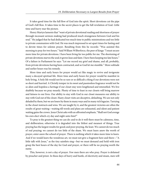It takes good time for the full flow of God into the spirit. Short devotions cut the pipe of God's full flow. It takes time in the secret places to get the full revelation of God. Little time and hurry mar the picture.

Henry Martyn laments that "want of private devotional reading and shortness of prayer through incessant sermon-making had produced much strangeness between God and his soul." He judged that he had dedicated too much time to public ministrations and too little to private communion with God. He was much impressed to set apart times for fasting and to devote times for solemn prayer. Resulting from this he records: "Was assisted this morning to pray for two hours." Said William Wilberforce, the peer of kings: "I must secure more time for private devotions. I have been living far too public for me. The shortening of private devotions starves the soul; it grows lean and faint. I have been keeping too late hours." Of a failure in Parliament he says: "Let me record my grief and shame, and all, probably, from private devotions having been contracted, and so God let me stumble." More solitude and earlier hours was his remedy.

More time and early hours for prayer would act like magic to revive and invigorate many a decayed spiritual life. More time and early hours for prayer would be manifest in holy living. A holy life would not be so rare or so difficult a thing if our devotions were not so short and hurried. A Christly temper in its sweet and passionless fragrance would not be so alien and hopeless a heritage if our closet stay were lengthened and intensified. We live shabbily because we pray meanly. Plenty of time to feast in our closets will bring marrow and fatness to our lives. Our ability to stay with God in our closet measures our ability to stay with God out of the closet. Hasty closet visits are deceptive, defaulting. We are not only deluded by them, but we are losers by them in many ways and in many rich legacies. Tarrying in the closet instructs and wins. We are taught by it, and the greatest victories are often the results of great waiting—waiting till words and plans are exhausted, and silent and patient waiting gains the crown. Jesus Christ asks with an affronted emphasis, "Shall not God avenge his own elect which cry day and night unto him?"

To pray is the greatest thing we can do: and to do it well there must be calmness, time, and deliberation; otherwise it is degraded into the littlest and meanest of things. True praying has the largest results for good; and poor praying, the least. We cannot do too much of real praying; we cannot do too little of the sham. We must learn anew the worth of prayer, enter anew the school of prayer. There is nothing which it takes more time to learn. And if we would learn the wondrous art, we must not give a fragment here and there—"A little talk with Jesus," as the tiny saintlets sing—but we must demand and hold with iron grasp the best hours of the day for God and prayer, or there will be no praying worth the name.

This, however, is not a day of prayer. Few men there are who pray. Prayer is defamed by preacher and priest. In these days of hurry and bustle, of electricity and steam, men will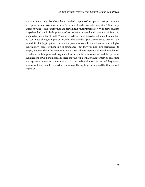not take time to pray. Preachers there are who "say prayers" as a part of their programme, on regular or state occasions; but who "stirs himself up to take hold upon God?" Who prays as Jacob prayed—till he is crowned as a prevailing, princely intercessor? Who prays as Elijah prayed—till all the locked-up forces of nature were unsealed and a famine-stricken land bloomed as the garden of God? Who prayed as Jesus Christ prayed as out upon the mountain he "continued all night in prayer to God?" The apostles "gave themselves to prayer"—the most difficult thing to get men or even the preachers to do. Laymen there are who will give their money—some of them in rich abundance—but they will not "give themselves" to prayer, without which their money is but a curse. There are plenty of preachers who will preach and deliver great and eloquent addresses on the need of revival and the spread of the kingdom of God, but not many there are who will do that without which all preaching and organizing are worse than vain—pray. It is out of date, almost a lost art, and the greatest benefactor this age could have is the man who will bring the preachers and the Church back to prayer.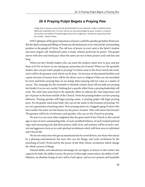#### **20 A Praying Pulpit Begets a Praying Pew**

<span id="page-49-0"></span>I judge that my prayer is more than the devil himself; if it were otherwise, Luther would have fared differently long before this. Yet men will not see and acknowledge the great wonders or miracles God works in my behalf. If I should neglect prayer but a single day, I should lose a great deal of the fire of faith.—Martin Luther

ONLY glimpses of the great importance of prayer could the apostles get before Pentecost. But the Spirit coming and filling on Pentecost elevated prayer to its vital and all-commanding position in the gospel of Christ. The call now of prayer to every saint is the Spirit's loudest and most exigent call. Sainthood's piety is made, refined, perfected, by prayer. The gospel moves with slow and timid pace when the saints are not at their prayers early and late and long.

Where are the Christly leaders who can teach the modern saints how to pray and put them at it? Do we know we are raising up a prayerless set of saints? Where are the apostolic leaders who can put God's people to praying? Let them come to the front and do the work, and it will be the greatest work which can be done. An increase of educational facilities and a great increase of money force will be the direst curse to religion if they are not sanctified by more and better praying than we are doing. More praying will not come as a matter of course. The campaign for the twentieth or thirtieth century fund will not help our praying but hinder if we are not careful. Nothing but a specific effort from a praying leadership will avail. The chief ones must lead in the apostolic effort to radicate the vital importance and fact of prayer in the heart and life of the Church. None but praying leaders can have praying followers. Praying apostles will beget praying saints. A praying pulpit will beget praying pews. We do greatly need some body who can set the saints to this business of praying. We are not a generation of praying saints. Non-praying saints are a beggarly gang of saints who have neither the ardor nor the beauty nor the power of saints. Who will restore this breach? The greatest will he be of reformers and apostles, who can set the Church to praying.

We put it as our most sober judgment that the great need of the Church in this and all ages is men of such commanding faith, of such unsullied holiness, of such marked spiritual vigor and consuming zeal, that their prayers, faith, lives, and ministry will be of such a radical and aggressive form as to work spiritual revolutions which will form eras in individual and Church life.

We do not mean men who get up sensational stirs by novel devices, nor those who attract by a pleasing entertainment; but men who can stir things, and work revolutions by the preaching of God's Word and by the power of the Holy Ghost, revolutions which change the whole current of things.

Natural ability and educational advantages do not figure as factors in this matter; but capacity for faith, the ability to pray, the power of thorough consecration, the ability of selflittleness, an absolute losing of one's self in God's glory, and an ever-present and insatiable